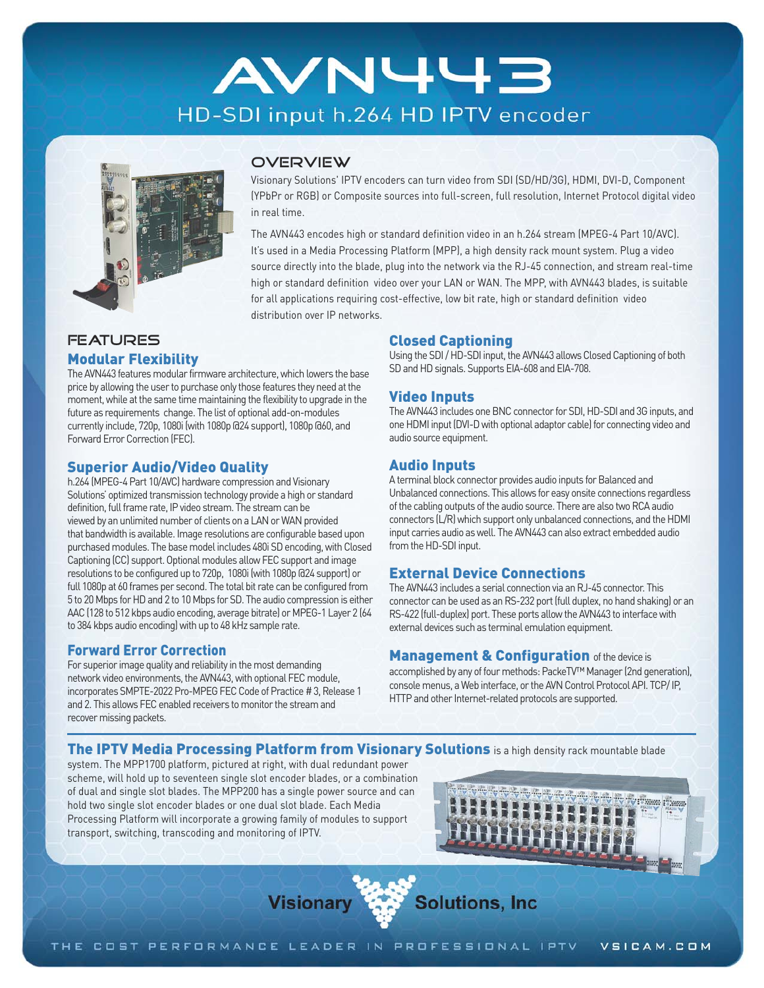# **AVN443** HD-SDI input h.264 HD IPTV encoder



#### **OVERVIEW**

Visionary Solutions' IPTV encoders can turn video from SDI (SD/HD/3G), HDMI, DVI-D, Component (YPbPr or RGB) or Composite sources into full-screen, full resolution, Internet Protocol digital video in real time.

The AVN443 encodes high or standard definition video in an h.264 stream (MPEG-4 Part 10/AVC). It's used in a Media Processing Platform (MPP), a high density rack mount system. Plug a video source directly into the blade, plug into the network via the RJ-45 connection, and stream real-time high or standard definition video over your LAN or WAN. The MPP, with AVN443 blades, is suitable for all applications requiring cost-effective, low bit rate, high or standard definition video distribution over IP networks.

## **FEATURES**

#### Modular Flexibility

The AVN443 features modular firmware architecture, which lowers the base price by allowing the user to purchase only those features they need at the moment, while at the same time maintaining the flexibility to upgrade in the future as requirements change. The list of optional add-on-modules currently include, 720p, 1080i (with 1080p @24 support), 1080p @60, and Forward Error Correction (FEC).

## Superior Audio/Video Quality

h.264 (MPEG-4 Part 10/AVC) hardware compression and Visionary Solutions' optimized transmission technology provide a high or standard definition, full frame rate, IP video stream. The stream can be viewed by an unlimited number of clients on a LAN or WAN provided that bandwidth is available. Image resolutions are configurable based upon purchased modules. The base model includes 480i SD encoding, with Closed Captioning (CC) support. Optional modules allow FEC support and image resolutions to be configured up to 720p, 1080i (with 1080p @24 support) or full 1080p at 60 frames per second. The total bit rate can be configured from 5 to 20 Mbps for HD and 2 to 10 Mbps for SD. The audio compression is either AAC (128 to 512 kbps audio encoding, average bitrate) or MPEG-1 Layer 2 (64 to 384 kbps audio encoding) with up to 48 kHz sample rate.

## Forward Error Correction

For superior image quality and reliability in the most demanding network video environments, the AVN443, with optional FEC module, incorporates SMPTE-2022 Pro-MPEG FEC Code of Practice # 3, Release 1 and 2. This allows FEC enabled receivers to monitor the stream and recover missing packets.

## Closed Captioning

Using the SDI / HD-SDI input, the AVN443 allows Closed Captioning of both SD and HD signals. Supports EIA-608 and EIA-708.

## Video Inputs

The AVN443 includes one BNC connector for SDI, HD-SDI and 3G inputs, and one HDMI input (DVI-D with optional adaptor cable) for connecting video and audio source equipment.

## Audio Inputs

A terminal block connector provides audio inputs for Balanced and Unbalanced connections. This allows for easy onsite connections regardless of the cabling outputs of the audio source. There are also two RCA audio connectors (L/R) which support only unbalanced connections, and the HDMI input carries audio as well. The AVN443 can also extract embedded audio from the HD-SDI input.

## External Device Connections

The AVN443 includes a serial connection via an RJ-45 connector. This connector can be used as an RS-232 port (full duplex, no hand shaking) or an RS-422 (full-duplex) port. These ports allow the AVN443 to interface with external devices such as terminal emulation equipment.

#### **Management & Configuration** of the device is

accomplished by any of four methods: PackeTV™ Manager (2nd generation), console menus, a Web interface, or the AVN Control Protocol API. TCP/ IP, HTTP and other Internet-related protocols are supported.

#### The IPTV Media Processing Platform from Visionary Solutions is a high density rack mountable blade

system. The MPP1700 platform, pictured at right, with dual redundant power scheme, will hold up to seventeen single slot encoder blades, or a combination of dual and single slot blades. The MPP200 has a single power source and can hold two single slot encoder blades or one dual slot blade. Each Media Processing Platform will incorporate a growing family of modules to support transport, switching, transcoding and monitoring of IPTV.



**Solutions, Inc. Visionary**